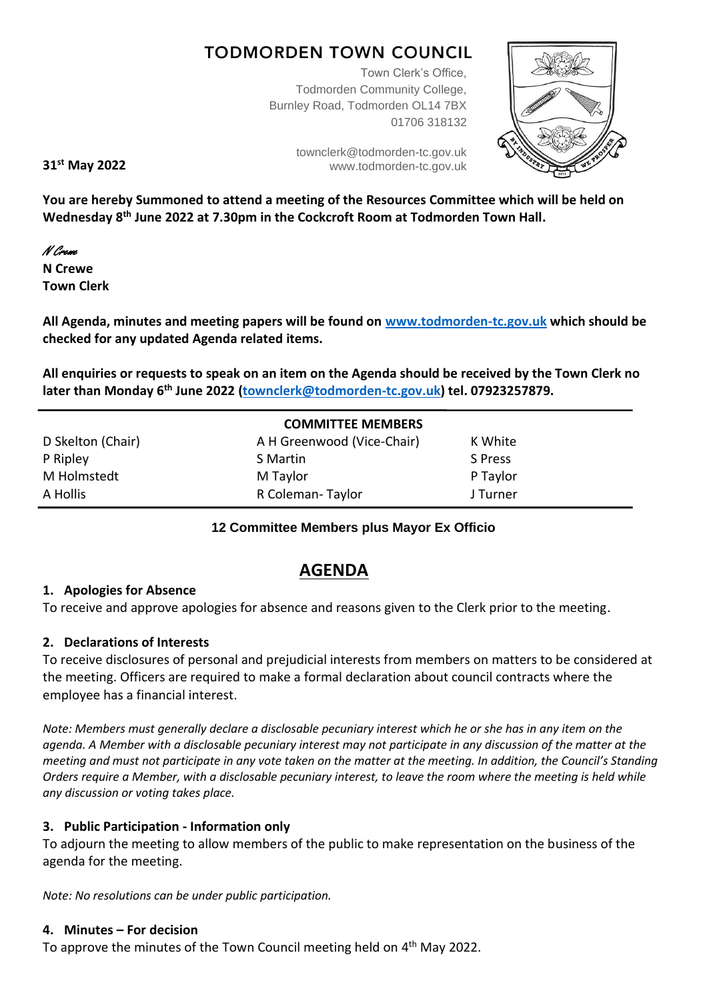# **TODMORDEN TOWN COUNCIL**

Town Clerk's Office, Todmorden Community College, Burnley Road, Todmorden OL14 7BX 01706 318132



**31 st May 2022**

[townclerk@todmorden-tc.gov.uk](mailto:townclerk@todmorden-tc.gov.uk) www.todmorden-tc.gov.uk

**You are hereby Summoned to attend a meeting of the Resources Committee which will be held on Wednesday 8 th June 2022 at 7.30pm in the Cockcroft Room at Todmorden Town Hall.**

N Crewe

**N Crewe Town Clerk**

**All Agenda, minutes and meeting papers will be found on [www.todmorden-tc.gov.uk](http://www.todmorden-tc.gov.uk/) which should be checked for any updated Agenda related items.**

**All enquiries or requests to speak on an item on the Agenda should be received by the Town Clerk no later than Monday 6 th June 2022 [\(townclerk@todmorden-tc.gov.uk\)](mailto:townclerk@todmorden-tc.gov.uk) tel. 07923257879.**

| <b>COMMITTEE MEMBERS</b> |                            |          |  |  |
|--------------------------|----------------------------|----------|--|--|
| D Skelton (Chair)        | A H Greenwood (Vice-Chair) | K White  |  |  |
| P Ripley                 | S Martin                   | S Press  |  |  |
| M Holmstedt              | M Taylor                   | P Taylor |  |  |
| A Hollis                 | R Coleman-Taylor           | J Turner |  |  |
|                          |                            |          |  |  |

#### **12 Committee Members plus Mayor Ex Officio**

## **AGENDA**

## **1. Apologies for Absence**

To receive and approve apologies for absence and reasons given to the Clerk prior to the meeting.

## **2. Declarations of Interests**

To receive disclosures of personal and prejudicial interests from members on matters to be considered at the meeting. Officers are required to make a formal declaration about council contracts where the employee has a financial interest.

*Note: Members must generally declare a disclosable pecuniary interest which he or she has in any item on the agenda. A Member with a disclosable pecuniary interest may not participate in any discussion of the matter at the meeting and must not participate in any vote taken on the matter at the meeting. In addition, the Council's Standing Orders require a Member, with a disclosable pecuniary interest, to leave the room where the meeting is held while any discussion or voting takes place.* 

## **3. Public Participation - Information only**

To adjourn the meeting to allow members of the public to make representation on the business of the agenda for the meeting.

*Note: No resolutions can be under public participation.*

#### **4. Minutes – For decision**

To approve the minutes of the Town Council meeting held on 4<sup>th</sup> May 2022.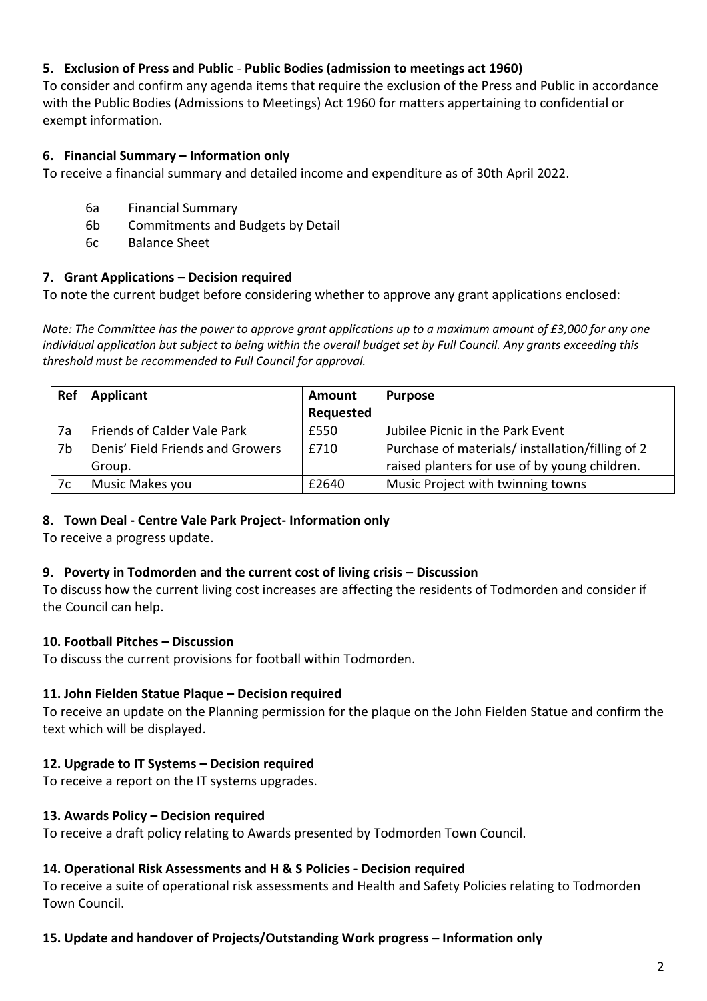## **5. Exclusion of Press and Public** - **Public Bodies (admission to meetings act 1960)**

To consider and confirm any agenda items that require the exclusion of the Press and Public in accordance with the Public Bodies (Admissions to Meetings) Act 1960 for matters appertaining to confidential or exempt information.

#### **6. Financial Summary – Information only**

To receive a financial summary and detailed income and expenditure as of 30th April 2022.

- 6a Financial Summary
- 6b Commitments and Budgets by Detail
- 6c Balance Sheet

#### **7. Grant Applications – Decision required**

To note the current budget before considering whether to approve any grant applications enclosed:

*Note: The Committee has the power to approve grant applications up to a maximum amount of £3,000 for any one individual application but subject to being within the overall budget set by Full Council. Any grants exceeding this threshold must be recommended to Full Council for approval.* 

| Ref | Applicant                        | Amount    | <b>Purpose</b>                                  |
|-----|----------------------------------|-----------|-------------------------------------------------|
|     |                                  | Requested |                                                 |
| 7a  | Friends of Calder Vale Park      | £550      | Jubilee Picnic in the Park Event                |
| 7b  | Denis' Field Friends and Growers | £710      | Purchase of materials/installation/filling of 2 |
|     | Group.                           |           | raised planters for use of by young children.   |
| 7c  | Music Makes you                  | £2640     | Music Project with twinning towns               |

#### **8. Town Deal - Centre Vale Park Project- Information only**

To receive a progress update.

#### **9. Poverty in Todmorden and the current cost of living crisis – Discussion**

To discuss how the current living cost increases are affecting the residents of Todmorden and consider if the Council can help.

#### **10. Football Pitches – Discussion**

To discuss the current provisions for football within Todmorden.

#### **11. John Fielden Statue Plaque – Decision required**

To receive an update on the Planning permission for the plaque on the John Fielden Statue and confirm the text which will be displayed.

#### **12. Upgrade to IT Systems – Decision required**

To receive a report on the IT systems upgrades.

#### **13. Awards Policy – Decision required**

To receive a draft policy relating to Awards presented by Todmorden Town Council.

#### **14. Operational Risk Assessments and H & S Policies - Decision required**

To receive a suite of operational risk assessments and Health and Safety Policies relating to Todmorden Town Council.

#### **15. Update and handover of Projects/Outstanding Work progress – Information only**